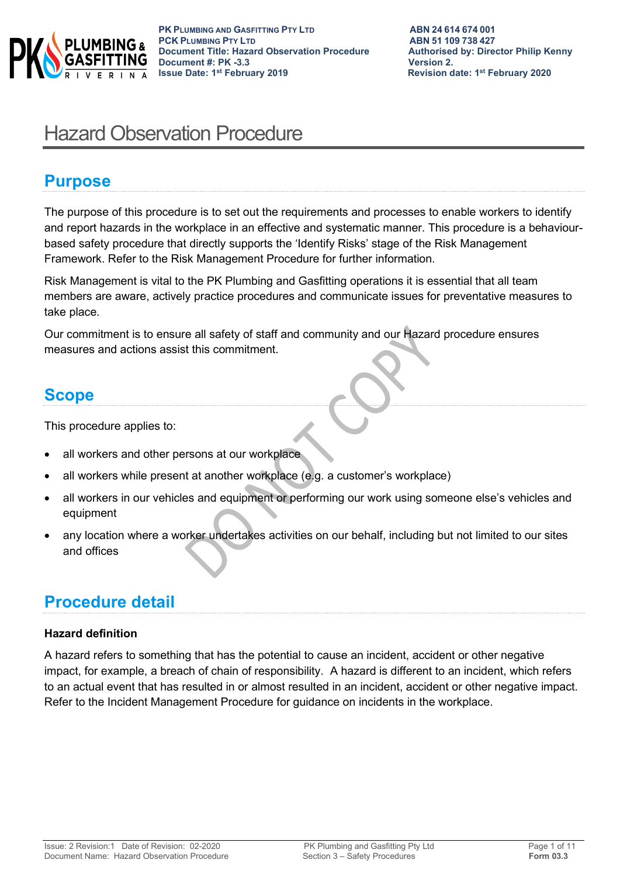

# Hazard Observation Procedure

## **Purpose**

The purpose of this procedure is to set out the requirements and processes to enable workers to identify and report hazards in the workplace in an effective and systematic manner. This procedure is a behaviourbased safety procedure that directly supports the 'Identify Risks' stage of the Risk Management Framework. Refer to the Risk Management Procedure for further information.

Risk Management is vital to the PK Plumbing and Gasfitting operations it is essential that all team members are aware, actively practice procedures and communicate issues for preventative measures to take place.

Our commitment is to ensure all safety of staff and community and our Hazard procedure ensures measures and actions assist this commitment.

## **Scope**

This procedure applies to:

- all workers and other persons at our workplace
- all workers while present at another workplace (e.g. a customer's workplace)
- all workers in our vehicles and equipment or performing our work using someone else's vehicles and equipment
- any location where a worker undertakes activities on our behalf, including but not limited to our sites and offices

## **Procedure detail**

## **Hazard definition**

A hazard refers to something that has the potential to cause an incident, accident or other negative impact, for example, a breach of chain of responsibility. A hazard is different to an incident, which refers to an actual event that has resulted in or almost resulted in an incident, accident or other negative impact. Refer to the Incident Management Procedure for guidance on incidents in the workplace.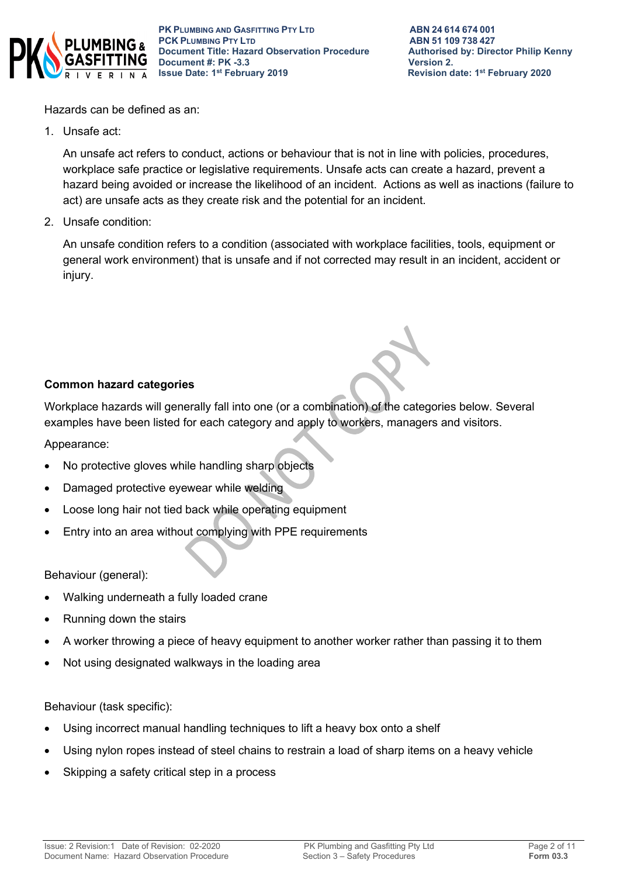

Hazards can be defined as an:

1. Unsafe act:

An unsafe act refers to conduct, actions or behaviour that is not in line with policies, procedures, workplace safe practice or legislative requirements. Unsafe acts can create a hazard, prevent a hazard being avoided or increase the likelihood of an incident. Actions as well as inactions (failure to act) are unsafe acts as they create risk and the potential for an incident.

2. Unsafe condition:

An unsafe condition refers to a condition (associated with workplace facilities, tools, equipment or general work environment) that is unsafe and if not corrected may result in an incident, accident or injury.

## **Common hazard categories**

Workplace hazards will generally fall into one (or a combination) of the categories below. Several examples have been listed for each category and apply to workers, managers and visitors.

Appearance:

- No protective gloves while handling sharp objects
- Damaged protective eyewear while welding
- Loose long hair not tied back while operating equipment
- Entry into an area without complying with PPE requirements

Behaviour (general):

- Walking underneath a fully loaded crane
- Running down the stairs
- A worker throwing a piece of heavy equipment to another worker rather than passing it to them
- Not using designated walkways in the loading area

Behaviour (task specific):

- Using incorrect manual handling techniques to lift a heavy box onto a shelf
- Using nylon ropes instead of steel chains to restrain a load of sharp items on a heavy vehicle
- Skipping a safety critical step in a process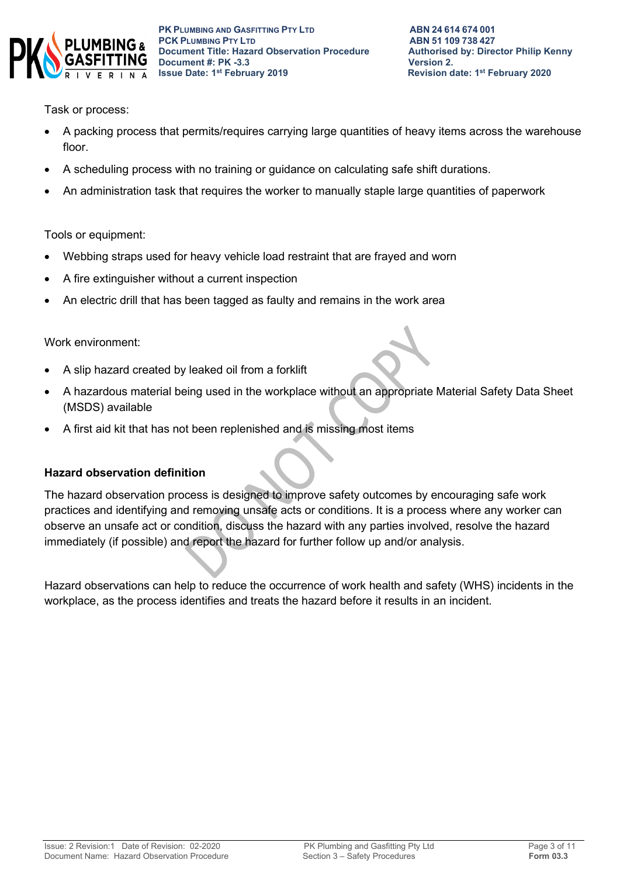

Task or process:

- A packing process that permits/requires carrying large quantities of heavy items across the warehouse floor.
- A scheduling process with no training or guidance on calculating safe shift durations.
- An administration task that requires the worker to manually staple large quantities of paperwork

Tools or equipment:

- Webbing straps used for heavy vehicle load restraint that are frayed and worn
- A fire extinguisher without a current inspection
- An electric drill that has been tagged as faulty and remains in the work area

Work environment:

- A slip hazard created by leaked oil from a forklift
- A hazardous material being used in the workplace without an appropriate Material Safety Data Sheet (MSDS) available
- A first aid kit that has not been replenished and is missing most items

## **Hazard observation definition**

The hazard observation process is designed to improve safety outcomes by encouraging safe work practices and identifying and removing unsafe acts or conditions. It is a process where any worker can observe an unsafe act or condition, discuss the hazard with any parties involved, resolve the hazard immediately (if possible) and report the hazard for further follow up and/or analysis.

Hazard observations can help to reduce the occurrence of work health and safety (WHS) incidents in the workplace, as the process identifies and treats the hazard before it results in an incident.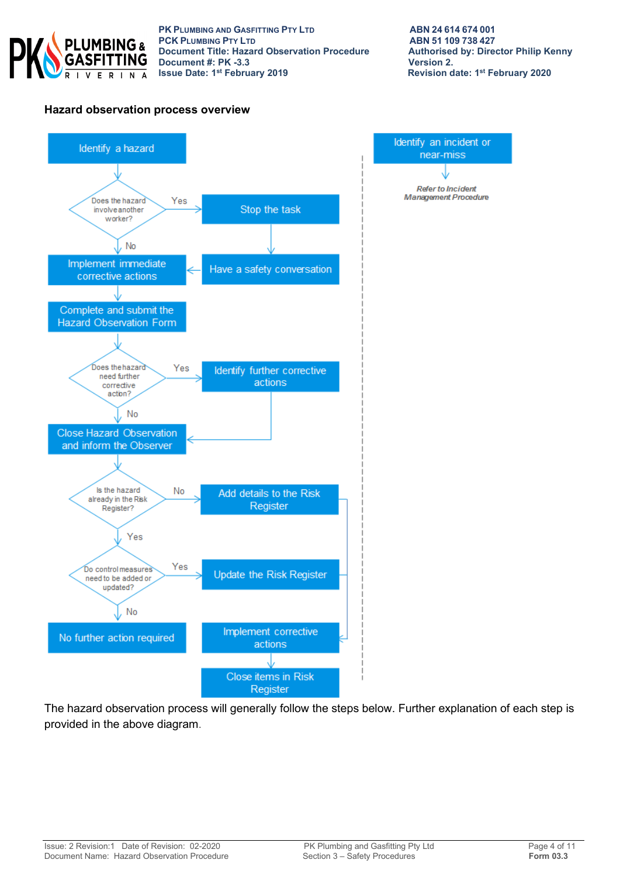

**PK PLUMBING AND GASFITTING PTY LTD**<br> **PCK PLUMBING PTY LTD**<br> **ABN 51 109 738 427 PCK PLUMBING PTY LTD**<br> **PCK PLUMBING PTY LTD**<br> **Document Title: Hazard Observation Procedure** Authorised by: Director Philip Kenny **Document Title: Hazard Observation Procedure Authorised Authorised by: Philip Renally Renally Renally Renally Renally Renally Renally Renally Renally Renally Renally Renally Renally Renally Renally Renally Renally Renally Document #: PK -3.3**<br>**Issue Date: 1st February 2019** 

Identify an incident or

near-miss

**Refer to Incident** Management Procedure

### **Hazard observation process overview**



The hazard observation process will generally follow the steps below. Further explanation of each step is provided in the above diagram.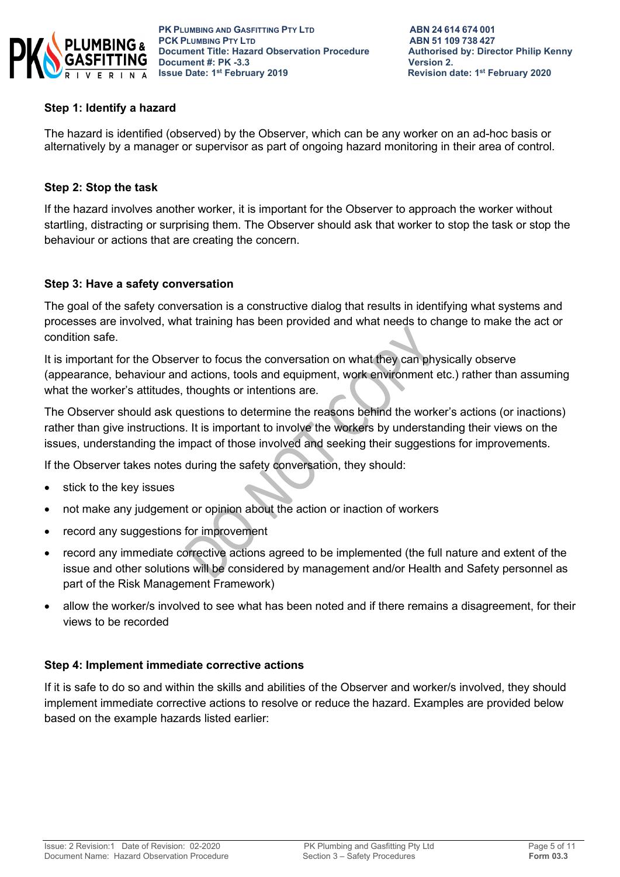

## **Step 1: Identify a hazard**

The hazard is identified (observed) by the Observer, which can be any worker on an ad-hoc basis or alternatively by a manager or supervisor as part of ongoing hazard monitoring in their area of control.

## **Step 2: Stop the task**

If the hazard involves another worker, it is important for the Observer to approach the worker without startling, distracting or surprising them. The Observer should ask that worker to stop the task or stop the behaviour or actions that are creating the concern.

### **Step 3: Have a safety conversation**

The goal of the safety conversation is a constructive dialog that results in identifying what systems and processes are involved, what training has been provided and what needs to change to make the act or condition safe.

It is important for the Observer to focus the conversation on what they can physically observe (appearance, behaviour and actions, tools and equipment, work environment etc.) rather than assuming what the worker's attitudes, thoughts or intentions are.

The Observer should ask questions to determine the reasons behind the worker's actions (or inactions) rather than give instructions. It is important to involve the workers by understanding their views on the issues, understanding the impact of those involved and seeking their suggestions for improvements.

If the Observer takes notes during the safety conversation, they should:

- stick to the key issues
- not make any judgement or opinion about the action or inaction of workers
- record any suggestions for improvement
- record any immediate corrective actions agreed to be implemented (the full nature and extent of the issue and other solutions will be considered by management and/or Health and Safety personnel as part of the Risk Management Framework)
- allow the worker/s involved to see what has been noted and if there remains a disagreement, for their views to be recorded

### **Step 4: Implement immediate corrective actions**

If it is safe to do so and within the skills and abilities of the Observer and worker/s involved, they should implement immediate corrective actions to resolve or reduce the hazard. Examples are provided below based on the example hazards listed earlier: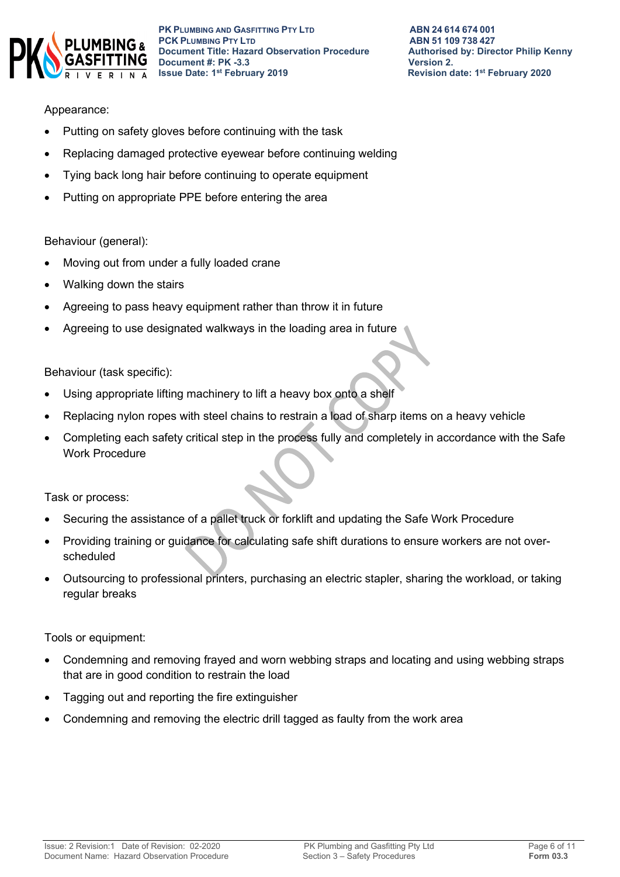

## Appearance:

- Putting on safety gloves before continuing with the task
- Replacing damaged protective eyewear before continuing welding
- Tying back long hair before continuing to operate equipment
- Putting on appropriate PPE before entering the area

### Behaviour (general):

- Moving out from under a fully loaded crane
- Walking down the stairs
- Agreeing to pass heavy equipment rather than throw it in future
- Agreeing to use designated walkways in the loading area in future

### Behaviour (task specific):

- Using appropriate lifting machinery to lift a heavy box onto a shelf
- Replacing nylon ropes with steel chains to restrain a load of sharp items on a heavy vehicle
- Completing each safety critical step in the process fully and completely in accordance with the Safe Work Procedure

Task or process:

- Securing the assistance of a pallet truck or forklift and updating the Safe Work Procedure
- Providing training or guidance for calculating safe shift durations to ensure workers are not overscheduled
- Outsourcing to professional printers, purchasing an electric stapler, sharing the workload, or taking regular breaks

Tools or equipment:

- Condemning and removing frayed and worn webbing straps and locating and using webbing straps that are in good condition to restrain the load
- Tagging out and reporting the fire extinguisher
- Condemning and removing the electric drill tagged as faulty from the work area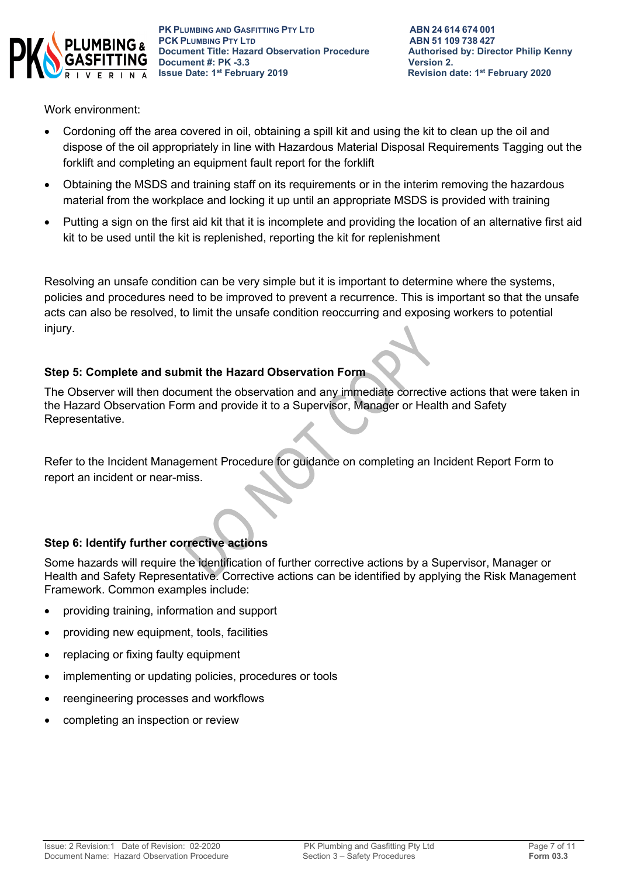

Work environment:

- Cordoning off the area covered in oil, obtaining a spill kit and using the kit to clean up the oil and dispose of the oil appropriately in line with Hazardous Material Disposal Requirements Tagging out the forklift and completing an equipment fault report for the forklift
- Obtaining the MSDS and training staff on its requirements or in the interim removing the hazardous material from the workplace and locking it up until an appropriate MSDS is provided with training
- Putting a sign on the first aid kit that it is incomplete and providing the location of an alternative first aid kit to be used until the kit is replenished, reporting the kit for replenishment

Resolving an unsafe condition can be very simple but it is important to determine where the systems, policies and procedures need to be improved to prevent a recurrence. This is important so that the unsafe acts can also be resolved, to limit the unsafe condition reoccurring and exposing workers to potential injury.

## **Step 5: Complete and submit the Hazard Observation Form**

The Observer will then document the observation and any immediate corrective actions that were taken in the Hazard Observation Form and provide it to a Supervisor, Manager or Health and Safety Representative.

Refer to the Incident Management Procedure for guidance on completing an Incident Report Form to report an incident or near-miss.

## **Step 6: Identify further corrective actions**

Some hazards will require the identification of further corrective actions by a Supervisor, Manager or Health and Safety Representative. Corrective actions can be identified by applying the Risk Management Framework. Common examples include:

- providing training, information and support
- providing new equipment, tools, facilities
- replacing or fixing faulty equipment
- implementing or updating policies, procedures or tools
- reengineering processes and workflows
- completing an inspection or review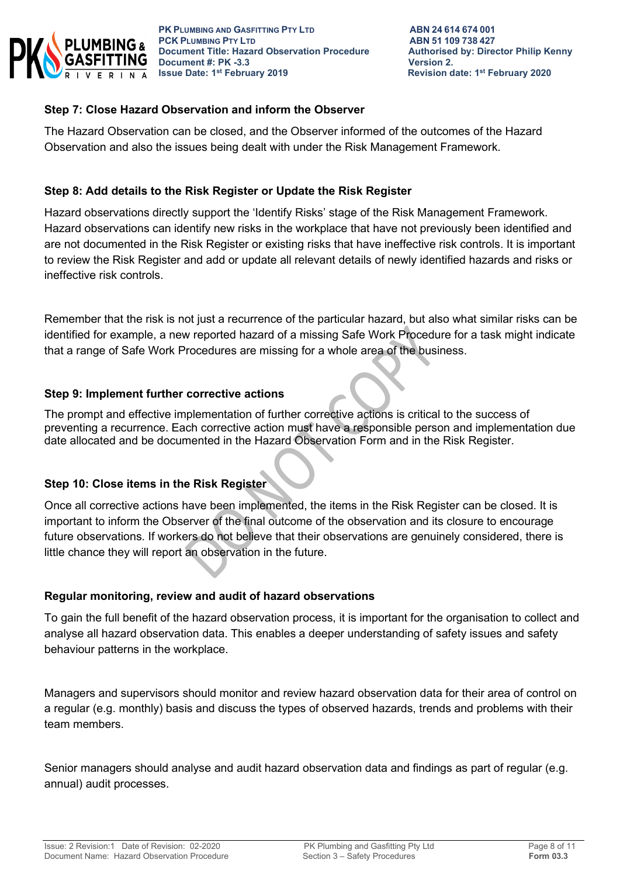

## **Step 7: Close Hazard Observation and inform the Observer**

The Hazard Observation can be closed, and the Observer informed of the outcomes of the Hazard Observation and also the issues being dealt with under the Risk Management Framework.

## **Step 8: Add details to the Risk Register or Update the Risk Register**

Hazard observations directly support the 'Identify Risks' stage of the Risk Management Framework. Hazard observations can identify new risks in the workplace that have not previously been identified and are not documented in the Risk Register or existing risks that have ineffective risk controls. It is important to review the Risk Register and add or update all relevant details of newly identified hazards and risks or ineffective risk controls.

Remember that the risk is not just a recurrence of the particular hazard, but also what similar risks can be identified for example, a new reported hazard of a missing Safe Work Procedure for a task might indicate that a range of Safe Work Procedures are missing for a whole area of the business.

### **Step 9: Implement further corrective actions**

The prompt and effective implementation of further corrective actions is critical to the success of preventing a recurrence. Each corrective action must have a responsible person and implementation due date allocated and be documented in the Hazard Observation Form and in the Risk Register.

## **Step 10: Close items in the Risk Register**

Once all corrective actions have been implemented, the items in the Risk Register can be closed. It is important to inform the Observer of the final outcome of the observation and its closure to encourage future observations. If workers do not believe that their observations are genuinely considered, there is little chance they will report an observation in the future.

### **Regular monitoring, review and audit of hazard observations**

To gain the full benefit of the hazard observation process, it is important for the organisation to collect and analyse all hazard observation data. This enables a deeper understanding of safety issues and safety behaviour patterns in the workplace.

Managers and supervisors should monitor and review hazard observation data for their area of control on a regular (e.g. monthly) basis and discuss the types of observed hazards, trends and problems with their team members.

Senior managers should analyse and audit hazard observation data and findings as part of regular (e.g. annual) audit processes.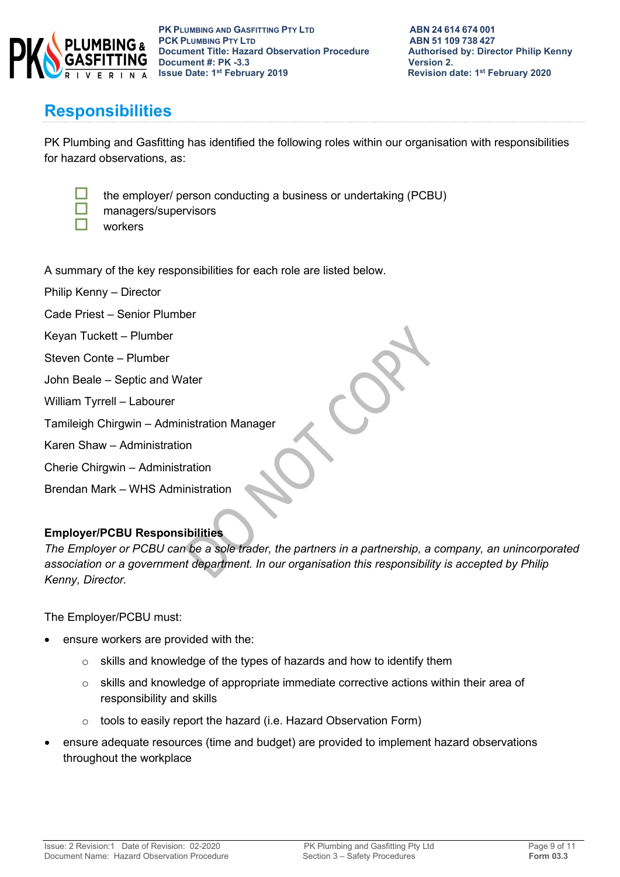

the employer/ person conducting a business or undertaking (PCBU)

## **Responsibilities**

PK Plumbing and Gasfitting has identified the following roles within our organisation with responsibilities for hazard observations, as:



- managers/supervisors
- workers

A summary of the key responsibilities for each role are listed below.

Philip Kenny – Director

Cade Priest – Senior Plumber

- Keyan Tuckett Plumber
- Steven Conte Plumber
- John Beale Septic and Water
- William Tyrrell Labourer
- Tamileigh Chirgwin Administration Manager
- Karen Shaw Administration
- Cherie Chirgwin Administration
- Brendan Mark WHS Administration

## **Employer/PCBU Responsibilities**

*The Employer or PCBU can be a sole trader, the partners in a partnership, a company, an unincorporated association or a government department. In our organisation this responsibility is accepted by Philip Kenny, Director.*

The Employer/PCBU must:

- ensure workers are provided with the:
	- o skills and knowledge of the types of hazards and how to identify them
	- $\circ$  skills and knowledge of appropriate immediate corrective actions within their area of responsibility and skills
	- o tools to easily report the hazard (i.e. Hazard Observation Form)
- ensure adequate resources (time and budget) are provided to implement hazard observations throughout the workplace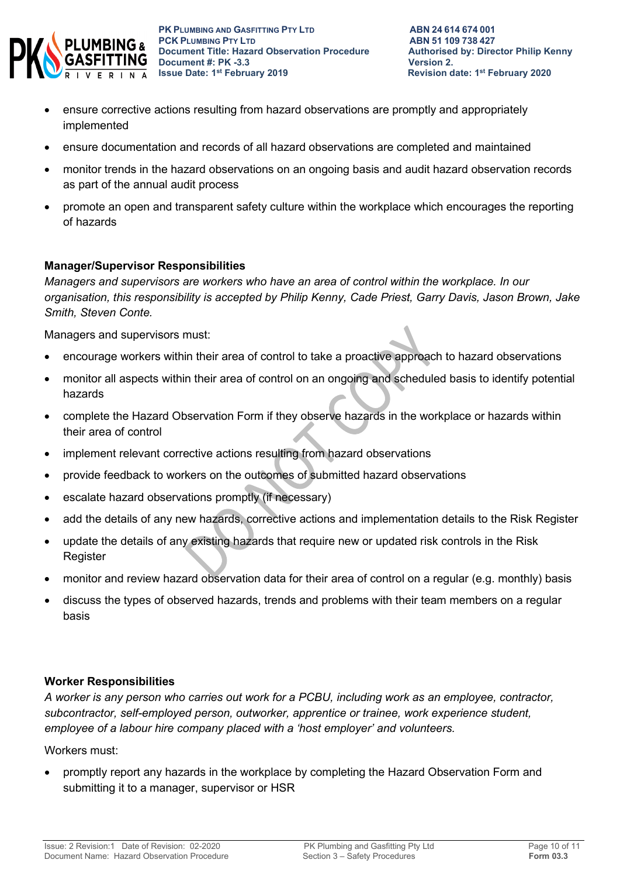

- ensure corrective actions resulting from hazard observations are promptly and appropriately implemented
- ensure documentation and records of all hazard observations are completed and maintained
- monitor trends in the hazard observations on an ongoing basis and audit hazard observation records as part of the annual audit process
- promote an open and transparent safety culture within the workplace which encourages the reporting of hazards

## **Manager/Supervisor Responsibilities**

*Managers and supervisors are workers who have an area of control within the workplace. In our organisation, this responsibility is accepted by Philip Kenny, Cade Priest, Garry Davis, Jason Brown, Jake Smith, Steven Conte.*

Managers and supervisors must:

- encourage workers within their area of control to take a proactive approach to hazard observations
- monitor all aspects within their area of control on an ongoing and scheduled basis to identify potential hazards
- complete the Hazard Observation Form if they observe hazards in the workplace or hazards within their area of control
- implement relevant corrective actions resulting from hazard observations
- provide feedback to workers on the outcomes of submitted hazard observations
- escalate hazard observations promptly (if necessary)
- add the details of any new hazards, corrective actions and implementation details to the Risk Register
- update the details of any existing hazards that require new or updated risk controls in the Risk **Register**
- monitor and review hazard observation data for their area of control on a regular (e.g. monthly) basis
- discuss the types of observed hazards, trends and problems with their team members on a regular basis

## **Worker Responsibilities**

*A worker is any person who carries out work for a PCBU, including work as an employee, contractor, subcontractor, self-employed person, outworker, apprentice or trainee, work experience student, employee of a labour hire company placed with a 'host employer' and volunteers.*

Workers must:

• promptly report any hazards in the workplace by completing the Hazard Observation Form and submitting it to a manager, supervisor or HSR